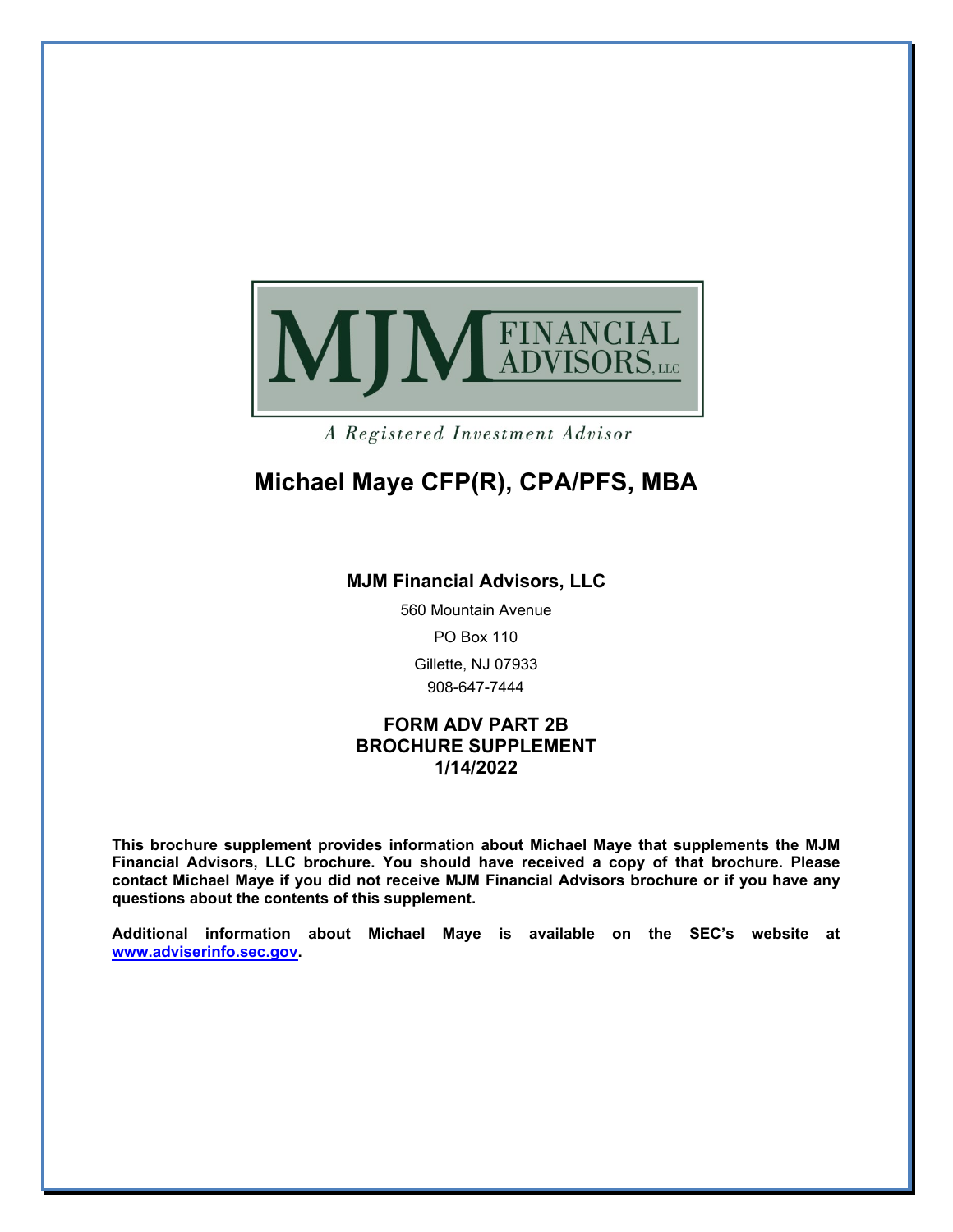

A Registered Investment Advisor

# **Michael Maye CFP(R), CPA/PFS, MBA**

#### **MJM Financial Advisors, LLC**

560 Mountain Avenue

PO Box 110

Gillette, NJ 07933 908-647-7444

#### **FORM ADV PART 2B BROCHURE SUPPLEMENT 1/14/2022**

**This brochure supplement provides information about Michael Maye that supplements the MJM Financial Advisors, LLC brochure. You should have received a copy of that brochure. Please contact Michael Maye if you did not receive MJM Financial Advisors brochure or if you have any questions about the contents of this supplement.**

**Additional information about Michael Maye is available on the SEC's website at [www.adviserinfo.sec.gov.](http://www.adviserinfo.sec.gov/)**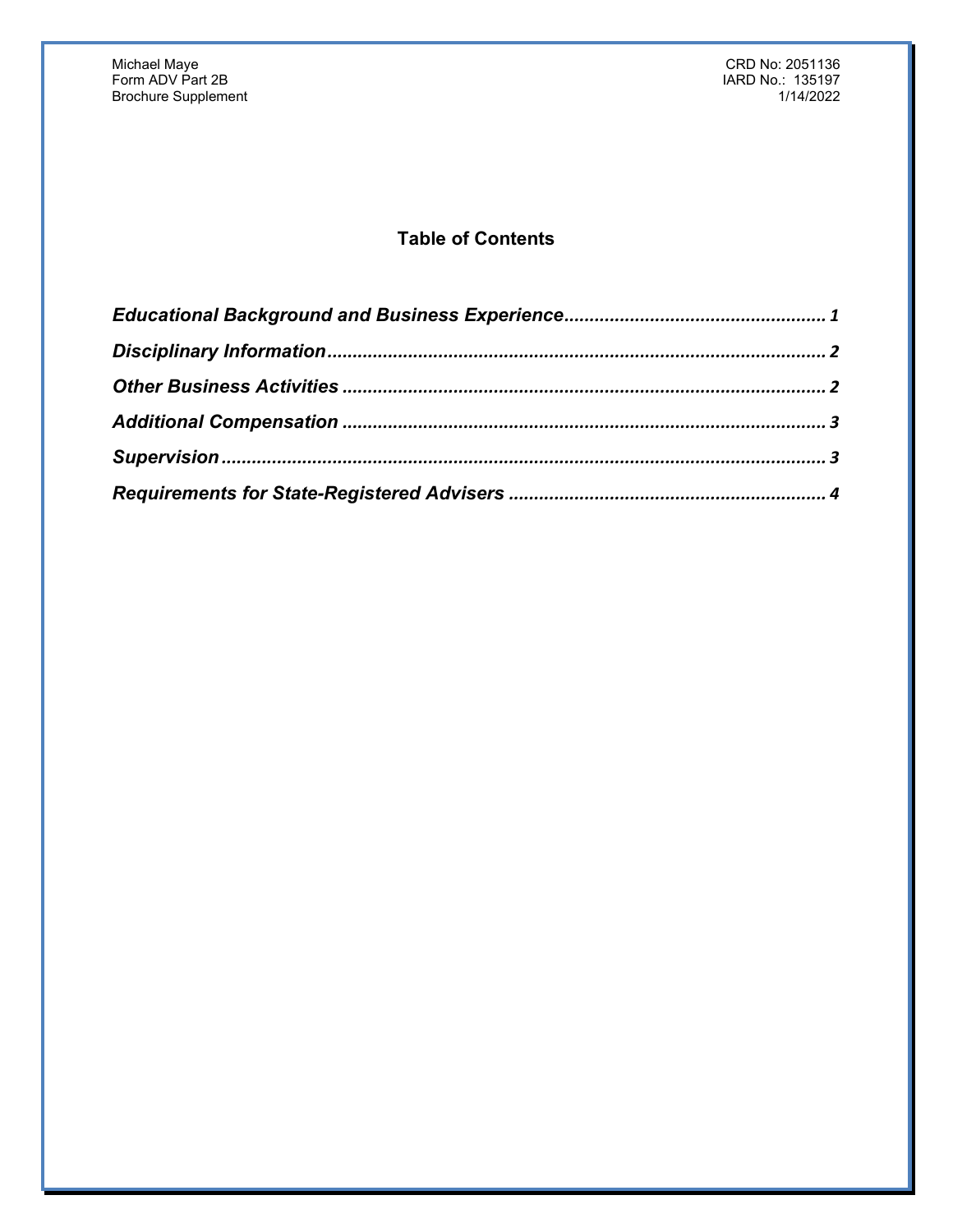# **Table of Contents**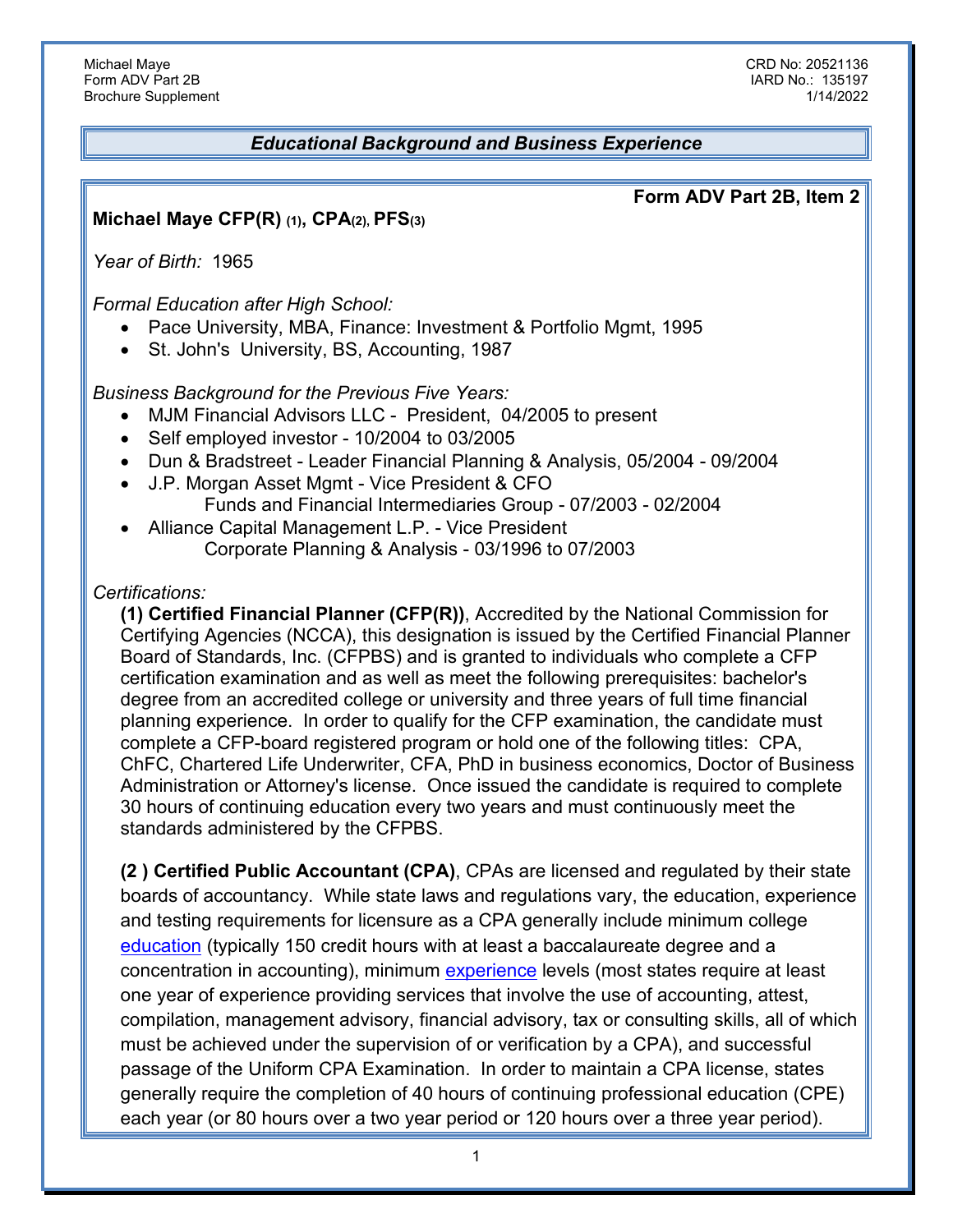# *Educational Background and Business Experience*

#### <span id="page-2-0"></span>**Michael Maye CFP(R) (1), CPA(2), PFS(3)**

#### **Form ADV Part 2B, Item 2**

*Year of Birth:* 1965

*Formal Education after High School:*

- Pace University, MBA, Finance: Investment & Portfolio Mgmt, 1995
- St. John's University, BS, Accounting, 1987

#### *Business Background for the Previous Five Years:*

- MJM Financial Advisors LLC President, 04/2005 to present
- Self employed investor 10/2004 to 03/2005
- Dun & Bradstreet Leader Financial Planning & Analysis, 05/2004 09/2004
- J.P. Morgan Asset Mgmt Vice President & CFO Funds and Financial Intermediaries Group - 07/2003 - 02/2004
- Alliance Capital Management L.P. Vice President Corporate Planning & Analysis - 03/1996 to 07/2003

#### *Certifications:*

**(1) Certified Financial Planner (CFP(R))**, Accredited by the National Commission for Certifying Agencies (NCCA), this designation is issued by the Certified Financial Planner Board of Standards, Inc. (CFPBS) and is granted to individuals who complete a CFP certification examination and as well as meet the following prerequisites: bachelor's degree from an accredited college or university and three years of full time financial planning experience. In order to qualify for the CFP examination, the candidate must complete a CFP-board registered program or hold one of the following titles: CPA, ChFC, Chartered Life Underwriter, CFA, PhD in business economics, Doctor of Business Administration or Attorney's license. Once issued the candidate is required to complete 30 hours of continuing education every two years and must continuously meet the standards administered by the CFPBS.

**(2 ) Certified Public Accountant (CPA)**, CPAs are licensed and regulated by their state boards of accountancy. While state laws and regulations vary, the education, experience and testing requirements for licensure as a CPA generally include minimum college [education](http://www.aicpa.org/Advocacy/State/Pages/150-HourEducationRequirement.aspx) (typically 150 credit hours with at least a baccalaureate degree and a concentration in accounting), minimum [experience](http://www.aicpa.org/Advocacy/State/Pages/ExperienceRequirement.aspx) levels (most states require at least one year of experience providing services that involve the use of accounting, attest, compilation, management advisory, financial advisory, tax or consulting skills, all of which must be achieved under the supervision of or verification by a CPA), and successful passage of the Uniform CPA Examination. In order to maintain a CPA license, states generally require the completion of 40 hours of continuing professional education (CPE) each year (or 80 hours over a two year period or 120 hours over a three year period).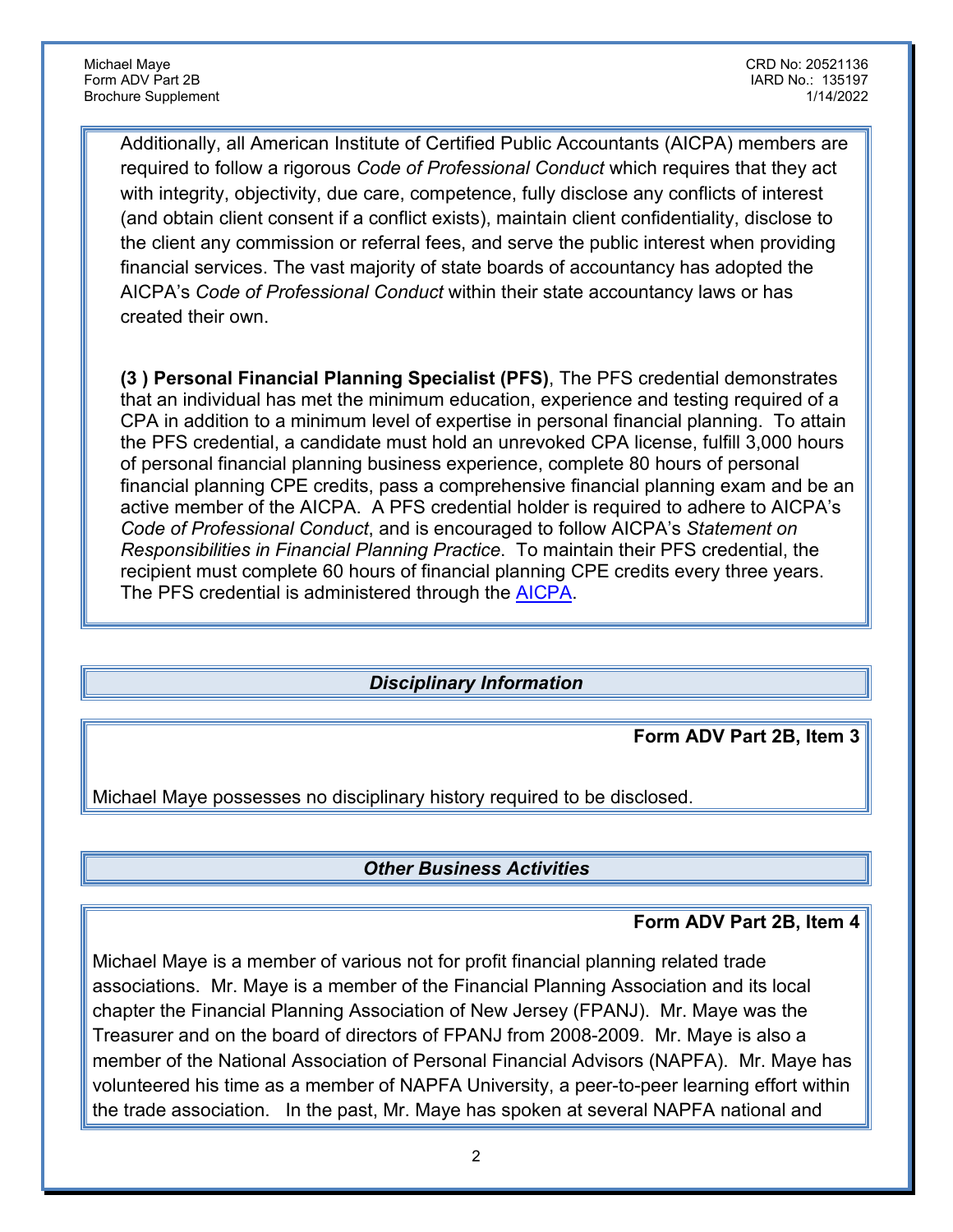Additionally, all American Institute of Certified Public Accountants (AICPA) members are required to follow a rigorous *Code of Professional Conduct* which requires that they act with integrity, objectivity, due care, competence, fully disclose any conflicts of interest (and obtain client consent if a conflict exists), maintain client confidentiality, disclose to the client any commission or referral fees, and serve the public interest when providing financial services. The vast majority of state boards of accountancy has adopted the AICPA's *Code of Professional Conduct* within their state accountancy laws or has created their own.

**(3 ) Personal Financial Planning Specialist (PFS)**, The PFS credential demonstrates that an individual has met the minimum education, experience and testing required of a CPA in addition to a minimum level of expertise in personal financial planning. To attain the PFS credential, a candidate must hold an unrevoked CPA license, fulfill 3,000 hours of personal financial planning business experience, complete 80 hours of personal financial planning CPE credits, pass a comprehensive financial planning exam and be an active member of the AICPA. A PFS credential holder is required to adhere to AICPA's *Code of Professional Conduct*, and is encouraged to follow AICPA's *Statement on Responsibilities in Financial Planning Practice*. To maintain their PFS credential, the recipient must complete 60 hours of financial planning CPE credits every three years. The PFS credential is administered through the [AICPA.](http://www.aicpa.org/InterestAreas/PeerReview/Community/Pages/ypsboa.aspx)

# *Disciplinary Information*

**Form ADV Part 2B, Item 3**

<span id="page-3-1"></span><span id="page-3-0"></span>Michael Maye possesses no disciplinary history required to be disclosed.

# *Other Business Activities*

## **Form ADV Part 2B, Item 4**

Michael Maye is a member of various not for profit financial planning related trade associations. Mr. Maye is a member of the Financial Planning Association and its local chapter the Financial Planning Association of New Jersey (FPANJ). Mr. Maye was the Treasurer and on the board of directors of FPANJ from 2008-2009. Mr. Maye is also a member of the National Association of Personal Financial Advisors (NAPFA). Mr. Maye has volunteered his time as a member of NAPFA University, a peer-to-peer learning effort within the trade association. In the past, Mr. Maye has spoken at several NAPFA national and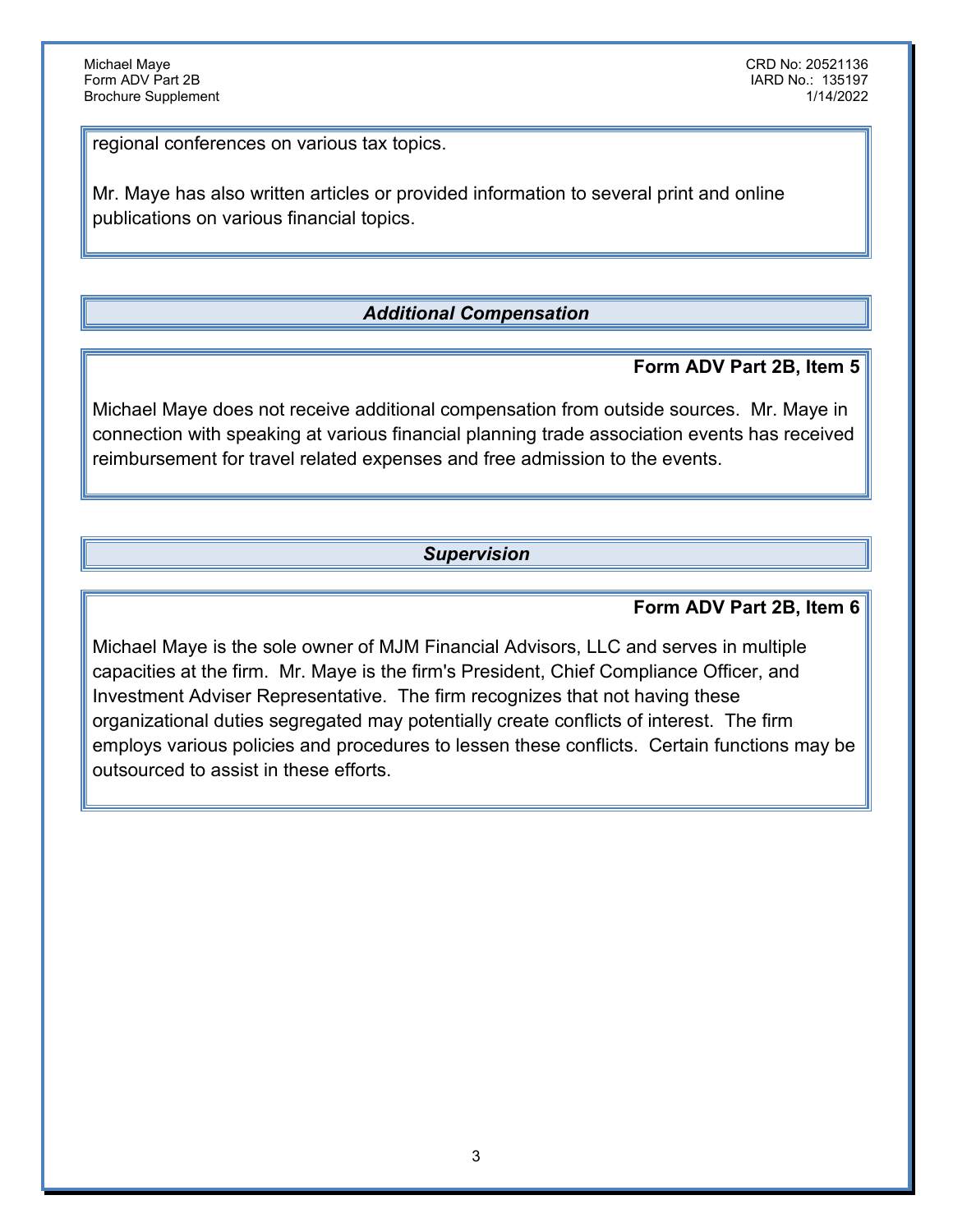regional conferences on various tax topics.

Mr. Maye has also written articles or provided information to several print and online publications on various financial topics.

# *Additional Compensation*

#### **Form ADV Part 2B, Item 5**

<span id="page-4-0"></span>Michael Maye does not receive additional compensation from outside sources. Mr. Maye in connection with speaking at various financial planning trade association events has received reimbursement for travel related expenses and free admission to the events.

# *Supervision*

#### **Form ADV Part 2B, Item 6**

<span id="page-4-1"></span>Michael Maye is the sole owner of MJM Financial Advisors, LLC and serves in multiple capacities at the firm. Mr. Maye is the firm's President, Chief Compliance Officer, and Investment Adviser Representative. The firm recognizes that not having these organizational duties segregated may potentially create conflicts of interest. The firm employs various policies and procedures to lessen these conflicts. Certain functions may be outsourced to assist in these efforts.